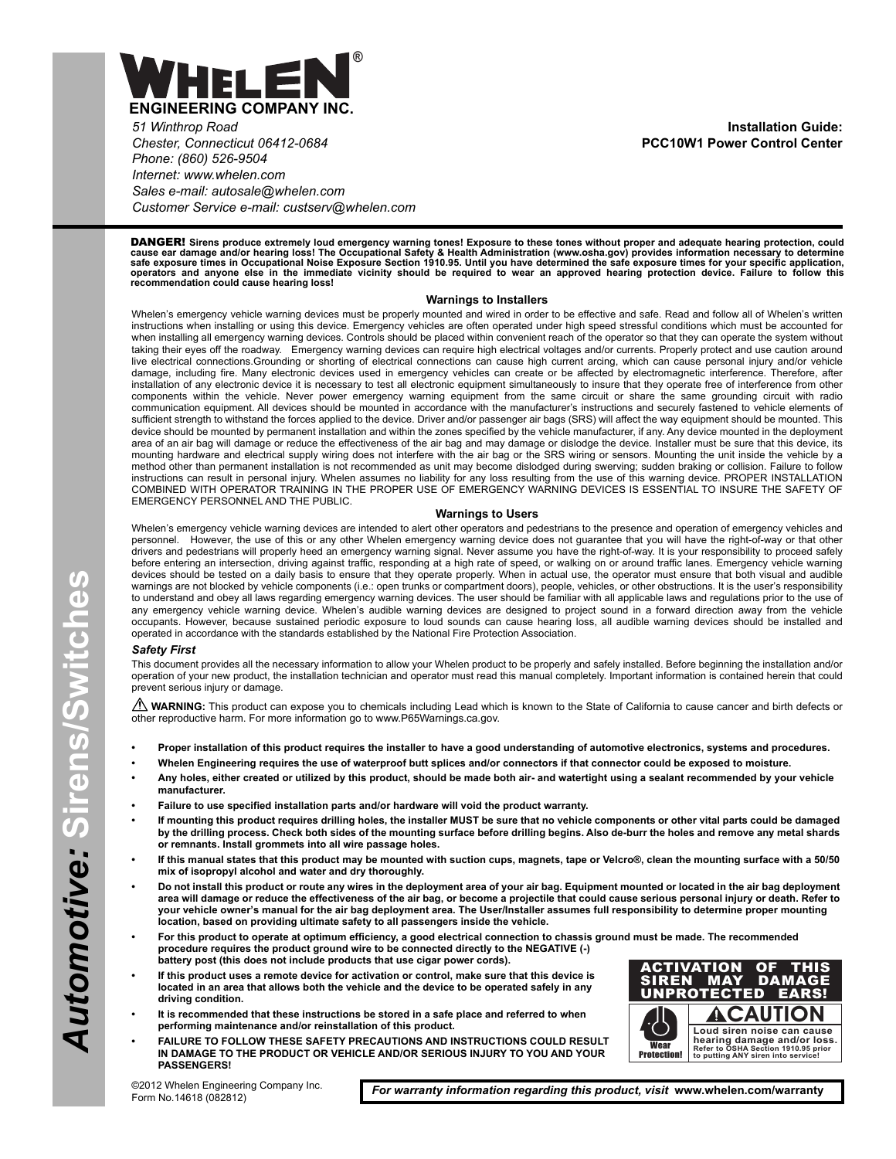

*51 Winthrop Road Chester, Connecticut 06412-0684 Phone: (860) 526-9504 Internet: www.whelen.com Sales e-mail: autosale@whelen.com Customer Service e-mail: custserv@whelen.com*

**Installation Guide: PCC10W1 Power Control Center**

DANGER! **Sirens produce extremely loud emergency warning tones! Exposure to these tones without proper and adequate hearing protection, could** cause ear damage and/or hearing loss! The Occupational Safety & Health Administration (www.osha.gov) provides information necessary to determine<br>safe exposure times in Occupational Noise Exposure Section 1910.95. Until you

#### **Warnings to Installers**

Whelen's emergency vehicle warning devices must be properly mounted and wired in order to be effective and safe. Read and follow all of Whelen's written instructions when installing or using this device. Emergency vehicles are often operated under high speed stressful conditions which must be accounted for when installing all emergency warning devices. Controls should be placed within convenient reach of the operator so that they can operate the system without taking their eyes off the roadway. Emergency warning devices can require high electrical voltages and/or currents. Properly protect and use caution around live electrical connections.Grounding or shorting of electrical connections can cause high current arcing, which can cause personal injury and/or vehicle damage, including fire. Many electronic devices used in emergency vehicles can create or be affected by electromagnetic interference. Therefore, after installation of any electronic device it is necessary to test all electronic equipment simultaneously to insure that they operate free of interference from other components within the vehicle. Never power emergency warning equipment from the same circuit or share the same grounding circuit with radio communication equipment. All devices should be mounted in accordance with the manufacturer's instructions and securely fastened to vehicle elements of sufficient strength to withstand the forces applied to the device. Driver and/or passenger air bags (SRS) will affect the way equipment should be mounted. This device should be mounted by permanent installation and within the zones specified by the vehicle manufacturer, if any. Any device mounted in the deployment area of an air bag will damage or reduce the effectiveness of the air bag and may damage or dislodge the device. Installer must be sure that this device, its mounting hardware and electrical supply wiring does not interfere with the air bag or the SRS wiring or sensors. Mounting the unit inside the vehicle by a method other than permanent installation is not recommended as unit may become dislodged during swerving; sudden braking or collision. Failure to follow instructions can result in personal injury. Whelen assumes no liability for any loss resulting from the use of this warning device. PROPER INSTALLATION COMBINED WITH OPERATOR TRAINING IN THE PROPER USE OF EMERGENCY WARNING DEVICES IS ESSENTIAL TO INSURE THE SAFETY OF EMERGENCY PERSONNEL AND THE PUBLIC.

#### **Warnings to Users**

Whelen's emergency vehicle warning devices are intended to alert other operators and pedestrians to the presence and operation of emergency vehicles and<br>personnel. However, the use of this or any other Whelen emergency war However, the use of this or any other Whelen emergency warning device does not guarantee that you will have the right-of-way or that other drivers and pedestrians will properly heed an emergency warning signal. Never assume you have the right-of-way. It is your responsibility to proceed safely before entering an intersection, driving against traffic, responding at a high rate of speed, or walking on or around traffic lanes. Emergency vehicle warning devices should be tested on a daily basis to ensure that they operate properly. When in actual use, the operator must ensure that both visual and audible warnings are not blocked by vehicle components (i.e.: open trunks or compartment doors), people, vehicles, or other obstructions. It is the user's responsibility to understand and obey all laws regarding emergency warning devices. The user should be familiar with all applicable laws and regulations prior to the use of any emergency vehicle warning device. Whelen's audible warning devices are designed to project sound in a forward direction away from the vehicle occupants. However, because sustained periodic exposure to loud sounds can cause hearing loss, all audible warning devices should be installed and operated in accordance with the standards established by the National Fire Protection Association.

#### *Safety First*

This document provides all the necessary information to allow your Whelen product to be properly and safely installed. Before beginning the installation and/or operation of your new product, the installation technician and operator must read this manual completely. Important information is contained herein that could prevent serious injury or damage.

WARNING: This product can expose you to chemicals including Lead which is known to the State of California to cause cancer and birth defects or other reproductive harm. For more information go to www.P65Warnings.ca.gov.

- **Proper installation of this product requires the installer to have a good understanding of automotive electronics, systems and procedures.**
- **Whelen Engineering requires the use of waterproof butt splices and/or connectors if that connector could be exposed to moisture.**
- **Any holes, either created or utilized by this product, should be made both air- and watertight using a sealant recommended by your vehicle manufacturer.**
- **Failure to use specified installation parts and/or hardware will void the product warranty.**
- **If mounting this product requires drilling holes, the installer MUST be sure that no vehicle components or other vital parts could be damaged by the drilling process. Check both sides of the mounting surface before drilling begins. Also de-burr the holes and remove any metal shards or remnants. Install grommets into all wire passage holes.**
- **If this manual states that this product may be mounted with suction cups, magnets, tape or Velcro®, clean the mounting surface with a 50/50 mix of isopropyl alcohol and water and dry thoroughly.**
- **Do not install this product or route any wires in the deployment area of your air bag. Equipment mounted or located in the air bag deployment area will damage or reduce the effectiveness of the air bag, or become a projectile that could cause serious personal injury or death. Refer to your vehicle owner's manual for the air bag deployment area. The User/Installer assumes full responsibility to determine proper mounting location, based on providing ultimate safety to all passengers inside the vehicle.**
- **For this product to operate at optimum efficiency, a good electrical connection to chassis ground must be made. The recommended procedure requires the product ground wire to be connected directly to the NEGATIVE (-) battery post (this does not include products that use cigar power cords).**
- **If this product uses a remote device for activation or control, make sure that this device is located in an area that allows both the vehicle and the device to be operated safely in any driving condition.**
- **It is recommended that these instructions be stored in a safe place and referred to when performing maintenance and/or reinstallation of this product.**
- **FAILURE TO FOLLOW THESE SAFETY PRECAUTIONS AND INSTRUCTIONS COULD RESULT IN DAMAGE TO THE PRODUCT OR VEHICLE AND/OR SERIOUS INJURY TO YOU AND YOUR PASSENGERS!**



©2012 Whelen Engineering Company Inc. Form No.14618 (082812)

*For warranty information regarding this product, visit* **www.whelen.com/warranty**